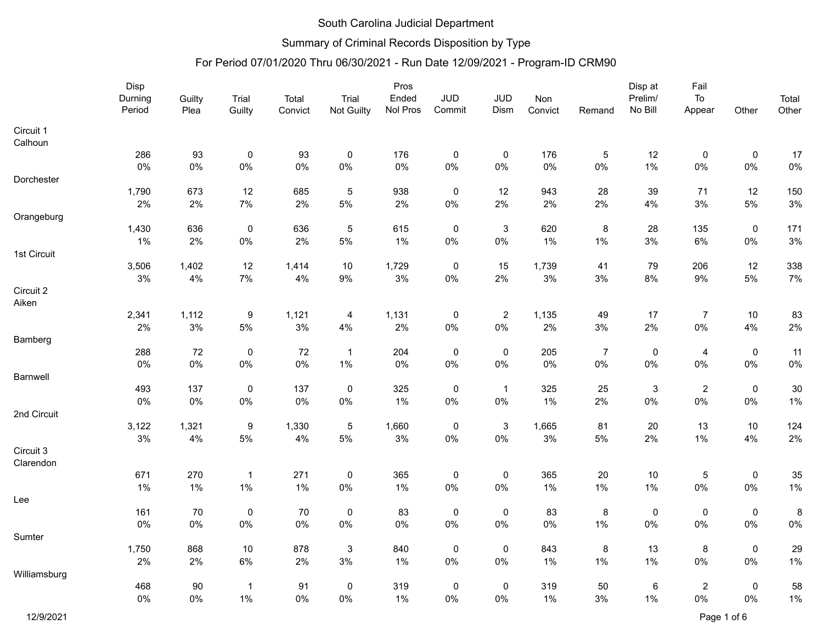## Summary of Criminal Records Disposition by Type

|              | Disp    |        |                  |        |                | Pros       |                |                           |       |                | Disp at     | Fail           |             |       |       |
|--------------|---------|--------|------------------|--------|----------------|------------|----------------|---------------------------|-------|----------------|-------------|----------------|-------------|-------|-------|
|              | Durning | Guilty | Trial            | Total  | Trial          | Ended      | <b>JUD</b>     | <b>JUD</b>                | Non   |                | Prelim/     | To             |             | Total |       |
|              | Period  |        | Plea             | Guilty | Convict        | Not Guilty | Nol Pros       | Commit                    | Dism  | Convict        | Remand      | No Bill        | Appear      | Other | Other |
| Circuit 1    |         |        |                  |        |                |            |                |                           |       |                |             |                |             |       |       |
| Calhoun      |         |        |                  |        |                |            |                |                           |       |                |             |                |             |       |       |
|              | 286     | 93     | $\pmb{0}$        | 93     | $\pmb{0}$      | 176        | $\mathbf 0$    | $\pmb{0}$                 | 176   | $\mathbf 5$    | 12          | $\pmb{0}$      | 0           | 17    |       |
|              | 0%      | $0\%$  | $0\%$            | $0\%$  | $0\%$          | 0%         | $0\%$          | $0\%$                     | $0\%$ | $0\%$          | 1%          | $0\%$          | $0\%$       | $0\%$ |       |
| Dorchester   |         |        |                  |        |                |            |                |                           |       |                |             |                |             |       |       |
|              | 1,790   | 673    | 12               | 685    | $\,$ 5 $\,$    | 938        | $\overline{0}$ | 12                        | 943   | 28             | 39          | 71             | 12          | 150   |       |
|              | 2%      | 2%     | $7\%$            | 2%     | $5\%$          | 2%         | $0\%$          | 2%                        | 2%    | 2%             | 4%          | 3%             | 5%          | $3\%$ |       |
| Orangeburg   |         |        |                  |        |                |            |                |                           |       |                |             |                |             |       |       |
|              | 1,430   | 636    | $\pmb{0}$        | 636    | $\mathbf 5$    | 615        | $\pmb{0}$      | $\ensuremath{\mathsf{3}}$ | 620   | $\bf 8$        | 28          | 135            | $\mathbf 0$ | 171   |       |
|              | 1%      | 2%     | $0\%$            | 2%     | 5%             | 1%         | $0\%$          | $0\%$                     | 1%    | $1\%$          | 3%          | 6%             | $0\%$       | $3%$  |       |
| 1st Circuit  |         |        |                  |        |                |            |                |                           |       |                |             |                |             |       |       |
|              | 3,506   | 1,402  | 12               | 1,414  | 10             | 1,729      | $\mathbf 0$    | 15                        | 1,739 | 41             | 79          | 206            | 12          | 338   |       |
|              | 3%      | $4\%$  | $7\%$            | 4%     | $9\%$          | $3\%$      | $0\%$          | 2%                        | $3\%$ | $3\%$          | $8\%$       | $9\%$          | $5\%$       | $7\%$ |       |
| Circuit 2    |         |        |                  |        |                |            |                |                           |       |                |             |                |             |       |       |
| Aiken        |         |        |                  |        |                |            |                |                           |       |                |             |                |             |       |       |
|              | 2,341   | 1,112  | $\boldsymbol{9}$ | 1,121  | $\overline{4}$ | 1,131      | $\pmb{0}$      | $\sqrt{2}$                | 1,135 | 49             | 17          | $\overline{7}$ | 10          | 83    |       |
|              | 2%      | 3%     | $5\%$            | 3%     | 4%             | 2%         | $0\%$          | $0\%$                     | 2%    | 3%             | 2%          | $0\%$          | 4%          | 2%    |       |
| Bamberg      |         |        |                  |        |                |            |                |                           |       |                |             |                |             |       |       |
|              | 288     | 72     | $\pmb{0}$        | 72     | $\overline{1}$ | 204        | $\mathbf 0$    | $\pmb{0}$                 | 205   | $\overline{7}$ | $\mathbf 0$ | $\overline{4}$ | $\pmb{0}$   | 11    |       |
|              | 0%      | $0\%$  | $0\%$            | $0\%$  | $1\%$          | 0%         | $0\%$          | $0\%$                     | 0%    | $0\%$          | 0%          | $0\%$          | $0\%$       | $0\%$ |       |
| Barnwell     |         |        |                  |        |                |            |                |                           |       |                |             |                |             |       |       |
|              | 493     | 137    | $\pmb{0}$        | 137    | $\pmb{0}$      | 325        | $\pmb{0}$      | $\mathbf{1}$              | 325   | 25             | $\sqrt{3}$  | $\sqrt{2}$     | $\pmb{0}$   | 30    |       |
|              | $0\%$   | $0\%$  | $0\%$            | 0%     | $0\%$          | 1%         | $0\%$          | $0\%$                     | 1%    | 2%             | $0\%$       | $0\%$          | $0\%$       | $1\%$ |       |
| 2nd Circuit  |         |        |                  |        |                |            |                |                           |       |                |             |                |             |       |       |
|              | 3,122   | 1,321  | $\boldsymbol{9}$ | 1,330  | $\sqrt{5}$     | 1,660      | $\pmb{0}$      | $\ensuremath{\mathsf{3}}$ | 1,665 | 81             | 20          | 13             | $10$        | 124   |       |
|              | 3%      | 4%     | $5\%$            | 4%     | 5%             | 3%         | $0\%$          | $0\%$                     | $3%$  | $5\%$          | 2%          | 1%             | 4%          | $2\%$ |       |
| Circuit 3    |         |        |                  |        |                |            |                |                           |       |                |             |                |             |       |       |
| Clarendon    |         |        |                  |        |                |            |                |                           |       |                |             |                |             |       |       |
|              | 671     | 270    | $\overline{1}$   | 271    | $\pmb{0}$      | 365        | $\pmb{0}$      | $\pmb{0}$                 | 365   | $20\,$         | 10          | $\,$ 5 $\,$    | $\pmb{0}$   | 35    |       |
|              | 1%      | $1\%$  | $1\%$            | 1%     | $0\%$          | $1\%$      | $0\%$          | $0\%$                     | 1%    | $1\%$          | 1%          | $0\%$          | $0\%$       | $1\%$ |       |
| Lee          |         |        |                  |        |                |            |                |                           |       |                |             |                |             |       |       |
|              | 161     | $70\,$ | $\pmb{0}$        | 70     | $\mathbf 0$    | 83         | $\mathbf 0$    | $\pmb{0}$                 | 83    | $\bf 8$        | $\pmb{0}$   | $\pmb{0}$      | $\mathbf 0$ | 8     |       |
|              | 0%      | $0\%$  | $0\%$            | $0\%$  | $0\%$          | $0\%$      | $0\%$          | $0\%$                     | $0\%$ | 1%             | 0%          | 0%             | $0\%$       | $0\%$ |       |
|              |         |        |                  |        |                |            |                |                           |       |                |             |                |             |       |       |
| Sumter       |         |        |                  |        |                |            |                |                           |       |                |             |                |             |       |       |
|              | 1,750   | 868    | $10$             | 878    | $\mathbf{3}$   | 840        | $\pmb{0}$      | $\pmb{0}$                 | 843   | $\bf 8$        | 13          | $\bf 8$        | $\pmb{0}$   | 29    |       |
|              | 2%      | 2%     | 6%               | 2%     | $3%$           | 1%         | $0\%$          | $0\%$                     | $1\%$ | $1\%$          | 1%          | $0\%$          | $0\%$       | $1\%$ |       |
| Williamsburg |         |        |                  |        |                |            |                |                           |       |                |             |                |             |       |       |
|              | 468     | 90     | $\mathbf{1}$     | 91     | $\mathbf 0$    | 319        | $\mathbf 0$    | $\pmb{0}$                 | 319   | 50             | 6           | $\sqrt{2}$     | $\pmb{0}$   | 58    |       |
|              | 0%      | $0\%$  | $1\%$            | 0%     | 0%             | 1%         | $0\%$          | $0\%$                     | 1%    | $3%$           | 1%          | 0%             | $0\%$       | $1\%$ |       |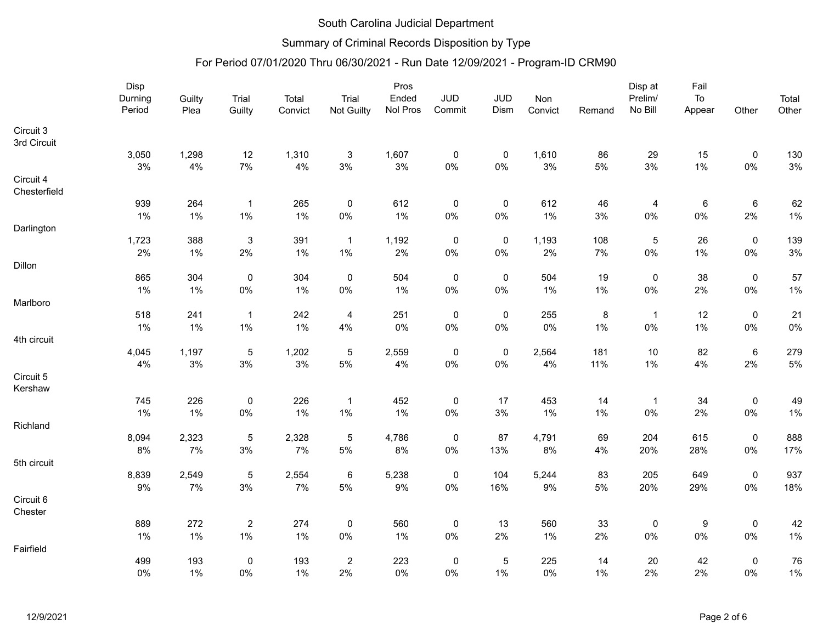## Summary of Criminal Records Disposition by Type

|                           | Disp    |        |              |         |                | Pros     |                |                  |         |         | Disp at            | Fail       |                     |       |
|---------------------------|---------|--------|--------------|---------|----------------|----------|----------------|------------------|---------|---------|--------------------|------------|---------------------|-------|
|                           | Durning | Guilty | Trial        | Total   | Trial          | Ended    | JUD            | <b>JUD</b>       | Non     | Remand  | Prelim/<br>No Bill | ${\sf To}$ |                     | Total |
|                           | Period  | Plea   | Guilty       | Convict | Not Guilty     | Nol Pros | Commit         | Dism             | Convict |         |                    | Appear     | Other               | Other |
| Circuit 3                 |         |        |              |         |                |          |                |                  |         |         |                    |            |                     |       |
| 3rd Circuit               |         |        |              |         |                |          |                |                  |         |         |                    |            |                     |       |
|                           | 3,050   | 1,298  | 12           | 1,310   | $\mathbf{3}$   | 1,607    | $\pmb{0}$      | $\pmb{0}$        | 1,610   | 86      | 29                 | 15         | $\pmb{0}$           | 130   |
|                           | 3%      | 4%     | $7\%$        | 4%      | $3\%$          | 3%       | $0\%$          | $0\%$            | 3%      | $5\%$   | 3%                 | 1%         | $0\%$               | $3\%$ |
| Circuit 4<br>Chesterfield |         |        |              |         |                |          |                |                  |         |         |                    |            |                     |       |
|                           | 939     | 264    | $\mathbf{1}$ | 265     | $\pmb{0}$      | 612      | $\mathbf 0$    | $\boldsymbol{0}$ | 612     | 46      | $\overline{4}$     | 6          | 6                   | 62    |
|                           | $1\%$   | 1%     | 1%           | 1%      | $0\%$          | 1%       | $0\%$          | $0\%$            | 1%      | 3%      | $0\%$              | $0\%$      | 2%                  | $1\%$ |
| Darlington                |         |        |              |         |                |          |                |                  |         |         |                    |            |                     |       |
|                           | 1,723   | 388    | $\sqrt{3}$   | 391     | $\overline{1}$ | 1,192    | $\mathbf 0$    | $\mathsf 0$      | 1,193   | 108     | $\mathbf 5$        | 26         | $\pmb{0}$           | 139   |
|                           | 2%      | 1%     | 2%           | 1%      | $1\%$          | 2%       | $0\%$          | $0\%$            | 2%      | 7%      | $0\%$              | 1%         | $0\%$               | $3\%$ |
| Dillon                    |         |        |              |         |                |          |                |                  |         |         |                    |            |                     |       |
|                           | 865     | 304    | $\mathsf 0$  | 304     | $\mathsf 0$    | 504      | $\mathbf 0$    | $\mathsf 0$      | 504     | 19      | $\mathsf 0$        | 38         | $\mathsf{O}\xspace$ | 57    |
|                           | $1\%$   | 1%     | $0\%$        | 1%      | $0\%$          | $1\%$    | $0\%$          | $0\%$            | 1%      | $1\%$   | $0\%$              | 2%         | $0\%$               | $1\%$ |
| Marlboro                  |         |        |              |         |                |          |                |                  |         |         |                    |            |                     |       |
|                           | 518     | 241    | $\mathbf{1}$ | 242     | $\overline{4}$ | 251      | $\pmb{0}$      | $\mathbf 0$      | 255     | $\bf 8$ | $\overline{1}$     | 12         | $\pmb{0}$           | 21    |
|                           | 1%      | 1%     | $1\%$        | 1%      | 4%             | $0\%$    | $0\%$          | $0\%$            | $0\%$   | 1%      | $0\%$              | 1%         | $0\%$               | $0\%$ |
| 4th circuit               |         |        |              |         |                |          |                |                  |         |         |                    |            |                     |       |
|                           | 4,045   | 1,197  | $\sqrt{5}$   | 1,202   | $\overline{5}$ | 2,559    | $\pmb{0}$      | $\mathbf 0$      | 2,564   | 181     | $10$               | 82         | $\,6\,$             | 279   |
|                           | 4%      | $3\%$  | $3\%$        | $3\%$   | $5\%$          | 4%       | $0\%$          | $0\%$            | $4\%$   | 11%     | 1%                 | 4%         | 2%                  | $5\%$ |
| Circuit 5                 |         |        |              |         |                |          |                |                  |         |         |                    |            |                     |       |
| Kershaw                   |         |        |              |         |                |          |                |                  |         |         |                    |            |                     |       |
|                           | 745     | 226    | $\pmb{0}$    | 226     | $\mathbf{1}$   | 452      | $\mathsf 0$    | 17               | 453     | 14      | $\mathbf{1}$       | 34         | $\pmb{0}$           | 49    |
|                           | $1\%$   | $1\%$  | $0\%$        | 1%      | $1\%$          | 1%       | $0\%$          | $3\%$            | 1%      | $1\%$   | 0%                 | 2%         | $0\%$               | 1%    |
| Richland                  |         |        |              |         |                |          |                |                  |         |         |                    |            |                     |       |
|                           | 8,094   | 2,323  | $\sqrt{5}$   | 2,328   | $\,$ 5 $\,$    | 4,786    | $\overline{0}$ | 87               | 4,791   | 69      | 204                | 615        | $\pmb{0}$           | 888   |
|                           | 8%      | 7%     | $3\%$        | 7%      | $5\%$          | 8%       | $0\%$          | 13%              | 8%      | 4%      | 20%                | 28%        | $0\%$               | 17%   |
| 5th circuit               |         |        |              |         |                |          |                |                  |         |         |                    |            |                     |       |
|                           | 8,839   | 2,549  | $\sqrt{5}$   | 2,554   | 6              | 5,238    | $\mathbf 0$    | 104              | 5,244   | 83      | 205                | 649        | $\pmb{0}$           | 937   |
|                           | $9\%$   | $7\%$  | $3\%$        | 7%      | $5\%$          | $9\%$    | $0\%$          | 16%              | $9\%$   | $5\%$   | 20%                | 29%        | $0\%$               | 18%   |
| Circuit 6                 |         |        |              |         |                |          |                |                  |         |         |                    |            |                     |       |
| Chester                   |         |        |              |         |                |          |                |                  |         |         |                    |            |                     |       |
|                           | 889     | 272    | $\sqrt{2}$   | 274     | $\mathbf 0$    | 560      | $\mathbf 0$    | 13               | 560     | 33      | $\pmb{0}$          | 9          | $\pmb{0}$           | 42    |
|                           | $1\%$   | 1%     | 1%           | 1%      | $0\%$          | 1%       | $0\%$          | 2%               | 1%      | 2%      | $0\%$              | $0\%$      | $0\%$               | $1\%$ |
| Fairfield                 |         |        |              |         |                |          |                |                  |         |         |                    |            |                     |       |
|                           | 499     | 193    | $\pmb{0}$    | 193     | $\overline{c}$ | 223      | $\mathbf 0$    | $\mathbf 5$      | 225     | 14      | $20\,$             | 42         | $\pmb{0}$           | 76    |
|                           | $0\%$   | 1%     | $0\%$        | 1%      | 2%             | $0\%$    | $0\%$          | 1%               | $0\%$   | $1\%$   | 2%                 | 2%         | $0\%$               | $1\%$ |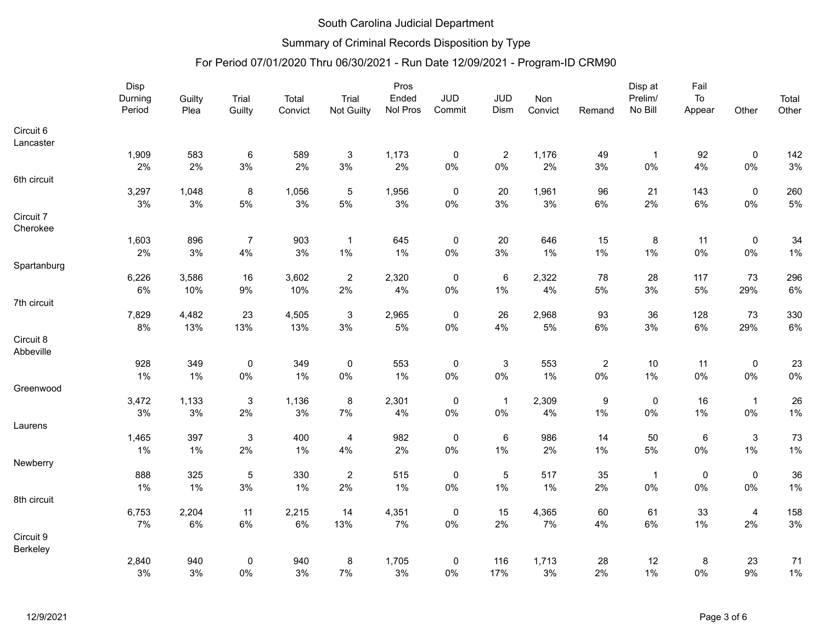## Summary of Criminal Records Disposition by Type

|                        | Disp    |        |                |         |                           | Pros     |                |                |         | Disp at          | Fail           |             |                           |        |
|------------------------|---------|--------|----------------|---------|---------------------------|----------|----------------|----------------|---------|------------------|----------------|-------------|---------------------------|--------|
|                        | Durning | Guilty | Trial          | Total   | Trial                     | Ended    | JUD            | <b>JUD</b>     | Non     |                  | Prelim/        | ${\sf To}$  |                           | Total  |
|                        | Period  | Plea   | Guilty         | Convict | Not Guilty                | Nol Pros | Commit         | Dism           | Convict | Remand           | No Bill        | Appear      | Other                     | Other  |
| Circuit 6              |         |        |                |         |                           |          |                |                |         |                  |                |             |                           |        |
| Lancaster              |         |        |                |         |                           |          |                |                |         |                  |                |             |                           |        |
|                        | 1,909   | 583    | $\,6\,$        | 589     | $\ensuremath{\mathsf{3}}$ | 1,173    | $\mathbf 0$    | $\overline{c}$ | 1,176   | 49               | $\overline{1}$ | 92          | 0                         | 142    |
|                        | 2%      | $2\%$  | $3\%$          | 2%      | $3\%$                     | $2\%$    | $0\%$          | $0\%$          | 2%      | $3%$             | 0%             | 4%          | $0\%$                     | $3\%$  |
| 6th circuit            |         |        |                |         |                           |          |                |                |         |                  |                |             |                           |        |
|                        | 3,297   | 1,048  | $\bf 8$        | 1,056   | $\sqrt{5}$                | 1,956    | $\mathbf 0$    | 20             | 1,961   | 96               | 21             | 143         | $\pmb{0}$                 | 260    |
|                        | 3%      | $3%$   | 5%             | 3%      | $5\%$                     | 3%       | $0\%$          | 3%             | 3%      | $6\%$            | 2%             | 6%          | $0\%$                     | 5%     |
| Circuit 7              |         |        |                |         |                           |          |                |                |         |                  |                |             |                           |        |
| Cherokee               |         |        |                |         |                           |          |                |                |         |                  |                |             |                           |        |
|                        | 1,603   | 896    | $\overline{7}$ | 903     | $\mathbf{1}$              | 645      | $\mathbf 0$    | 20             | 646     | 15               | $\bf 8$        | 11          | $\pmb{0}$                 | 34     |
|                        | 2%      | $3%$   | 4%             | $3%$    | $1\%$                     | 1%       | $0\%$          | 3%             | 1%      | $1\%$            | 1%             | 0%          | $0\%$                     | $1\%$  |
| Spartanburg            |         |        |                |         |                           |          |                |                |         |                  |                |             |                           |        |
|                        | 6,226   | 3,586  | 16             | 3,602   | $\overline{2}$            | 2,320    | $\overline{0}$ | $\,6\,$        | 2,322   | 78               | 28             | 117         | 73                        | 296    |
|                        | 6%      | 10%    | 9%             | 10%     | 2%                        | 4%       | $0\%$          | 1%             | 4%      | $5\%$            | $3%$           | 5%          | 29%                       | $6\%$  |
| 7th circuit            |         |        |                |         |                           |          |                |                |         |                  |                |             |                           |        |
|                        | 7,829   | 4,482  | 23             | 4,505   | $\ensuremath{\mathsf{3}}$ | 2,965    | $\pmb{0}$      | 26             | 2,968   | 93               | 36             | 128         | 73                        | 330    |
|                        | $8\%$   | 13%    | 13%            | 13%     | 3%                        | $5\%$    | $0\%$          | 4%             | 5%      | $6\%$            | 3%             | $6\%$       | 29%                       | 6%     |
| Circuit 8<br>Abbeville |         |        |                |         |                           |          |                |                |         |                  |                |             |                           |        |
|                        | 928     | 349    | $\pmb{0}$      | 349     | $\mathbf 0$               | 553      | $\overline{0}$ | $\sqrt{3}$     | 553     | $\boldsymbol{2}$ | 10             | 11          | $\pmb{0}$                 | 23     |
|                        | 1%      | 1%     | $0\%$          | 1%      | $0\%$                     | 1%       | $0\%$          | 0%             | 1%      | $0\%$            | 1%             | 0%          | $0\%$                     | $0\%$  |
| Greenwood              |         |        |                |         |                           |          |                |                |         |                  |                |             |                           |        |
|                        | 3,472   | 1,133  | $\mathbf{3}$   | 1,136   | 8                         | 2,301    | $\overline{0}$ | $\overline{1}$ | 2,309   | $\boldsymbol{9}$ | $\mathbf 0$    | 16          | $\mathbf{1}$              | 26     |
|                        | $3\%$   | $3%$   | $2\%$          | $3%$    | 7%                        | 4%       | $0\%$          | $0\%$          | 4%      | $1\%$            | $0\%$          | 1%          | $0\%$                     | $1\%$  |
| Laurens                |         |        |                |         |                           |          |                |                |         |                  |                |             |                           |        |
|                        | 1,465   | 397    | $\mathbf{3}$   | 400     | $\overline{4}$            | 982      | $\overline{0}$ | $\,6\,$        | 986     | 14               | 50             | $\,6\,$     | $\ensuremath{\mathsf{3}}$ | 73     |
|                        | $1\%$   | 1%     | 2%             | 1%      | 4%                        | 2%       | $0\%$          | 1%             | 2%      | $1\%$            | 5%             | $0\%$       | $1\%$                     | $1\%$  |
| Newberry               |         |        |                |         |                           |          |                |                |         |                  |                |             |                           |        |
|                        | 888     | 325    | $\overline{5}$ | 330     | $\overline{2}$            | 515      | $\mathbf 0$    | $\sqrt{5}$     | 517     | 35               | $\overline{1}$ | $\mathsf 0$ | $\pmb{0}$                 | $36\,$ |
|                        | $1\%$   | 1%     | $3%$           | 1%      | 2%                        | 1%       | $0\%$          | 1%             | 1%      | 2%               | $0\%$          | 0%          | $0\%$                     | $1\%$  |
| 8th circuit            |         |        |                |         |                           |          |                |                |         |                  |                |             |                           |        |
|                        | 6,753   | 2,204  | 11             | 2,215   | 14                        | 4,351    | $\overline{0}$ | 15             | 4,365   | 60               | 61             | 33          | $\overline{a}$            | 158    |
|                        | 7%      | $6\%$  | $6\%$          | $6\%$   | 13%                       | $7\%$    | $0\%$          | 2%             | $7\%$   | 4%               | 6%             | 1%          | 2%                        | $3\%$  |
| Circuit 9              |         |        |                |         |                           |          |                |                |         |                  |                |             |                           |        |
| Berkeley               |         |        |                |         |                           |          |                |                |         |                  |                |             |                           |        |
|                        | 2,840   | 940    | $\mathbf 0$    | 940     | 8                         | 1,705    | $\mathbf 0$    | 116            | 1,713   | 28               | 12             | 8           | 23                        | 71     |
|                        | 3%      | 3%     | $0\%$          | 3%      | 7%                        | 3%       | $0\%$          | 17%            | 3%      | 2%               | 1%             | 0%          | 9%                        | $1\%$  |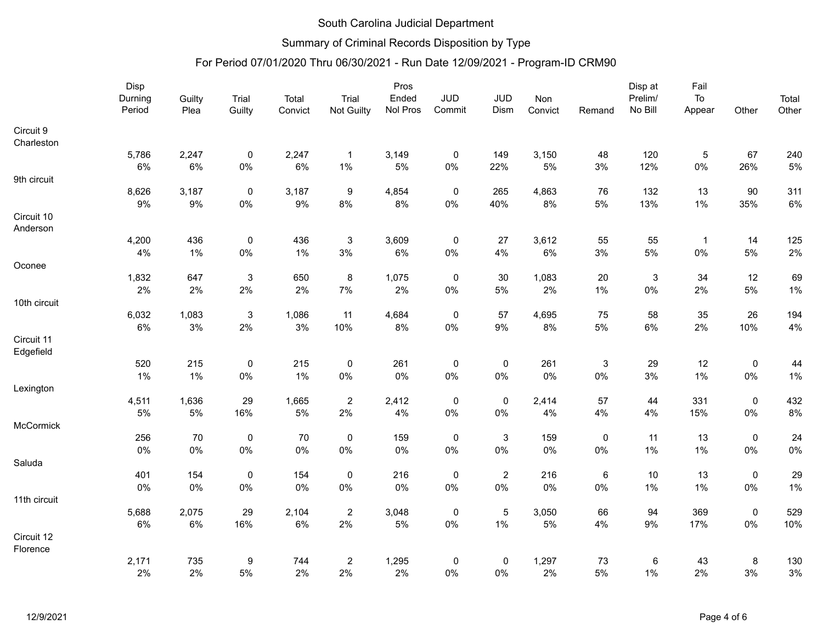## Summary of Criminal Records Disposition by Type

|              | Disp    |        |                           |         | Pros                |          |             |                           |         |              | Disp at            | Fail           |             |       |
|--------------|---------|--------|---------------------------|---------|---------------------|----------|-------------|---------------------------|---------|--------------|--------------------|----------------|-------------|-------|
|              | Durning | Guilty | Trial                     | Total   | Trial<br>Not Guilty | Ended    | <b>JUD</b>  | <b>JUD</b>                | Non     |              | Prelim/<br>No Bill | To             |             | Total |
|              | Period  | Plea   | Guilty                    | Convict |                     | Nol Pros | Commit      | Dism                      | Convict | Remand       |                    | Appear         | Other       | Other |
| Circuit 9    |         |        |                           |         |                     |          |             |                           |         |              |                    |                |             |       |
| Charleston   |         |        |                           |         |                     |          |             |                           |         |              |                    |                |             |       |
|              | 5,786   | 2,247  | $\pmb{0}$                 | 2,247   | $\overline{1}$      | 3,149    | $\mathbf 0$ | 149                       | 3,150   | 48           | 120                | $\mathbf 5$    | 67          | 240   |
|              | 6%      | 6%     | $0\%$                     | 6%      | $1\%$               | 5%       | 0%          | 22%                       | 5%      | 3%           | 12%                | $0\%$          | 26%         | $5\%$ |
| 9th circuit  |         |        |                           |         |                     |          |             |                           |         |              |                    |                |             |       |
|              | 8,626   | 3,187  | $\mathbf 0$               | 3,187   | $\boldsymbol{9}$    | 4,854    | $\pmb{0}$   | 265                       | 4,863   | 76           | 132                | 13             | 90          | 311   |
|              | 9%      | $9\%$  | $0\%$                     | $9\%$   | $8\%$               | 8%       | $0\%$       | 40%                       | 8%      | 5%           | 13%                | 1%             | 35%         | $6\%$ |
| Circuit 10   |         |        |                           |         |                     |          |             |                           |         |              |                    |                |             |       |
| Anderson     |         |        |                           |         |                     |          |             |                           |         |              |                    |                |             |       |
|              | 4,200   | 436    | $\pmb{0}$                 | 436     | $\sqrt{3}$          | 3,609    | $\pmb{0}$   | 27                        | 3,612   | 55           | 55                 | $\overline{1}$ | 14          | 125   |
|              | 4%      | 1%     | $0\%$                     | $1\%$   | $3%$                | 6%       | 0%          | 4%                        | $6\%$   | $3%$         | $5\%$              | $0\%$          | 5%          | $2\%$ |
| Oconee       |         |        |                           |         |                     |          |             |                           |         |              |                    |                |             |       |
|              | 1,832   | 647    | $\sqrt{3}$                | 650     | $\bf 8$             | 1,075    | $\pmb{0}$   | 30                        | 1,083   | 20           | $\sqrt{3}$         | 34             | 12          | 69    |
|              | 2%      | 2%     | 2%                        | 2%      | 7%                  | 2%       | 0%          | 5%                        | 2%      | $1\%$        | 0%                 | 2%             | 5%          | $1\%$ |
| 10th circuit |         |        |                           |         |                     |          |             |                           |         |              |                    |                |             |       |
|              | 6,032   | 1,083  | $\ensuremath{\mathsf{3}}$ | 1,086   | 11                  | 4,684    | $\pmb{0}$   | 57                        | 4,695   | 75           | 58                 | 35             | 26          | 194   |
|              | 6%      | 3%     | 2%                        | 3%      | 10%                 | 8%       | $0\%$       | $9\%$                     | 8%      | $5\%$        | $6\%$              | 2%             | 10%         | $4\%$ |
| Circuit 11   |         |        |                           |         |                     |          |             |                           |         |              |                    |                |             |       |
| Edgefield    |         |        |                           |         |                     |          |             |                           |         |              |                    |                |             |       |
|              | 520     | 215    | $\pmb{0}$                 | 215     | $\mathbf 0$         | 261      | $\pmb{0}$   | $\pmb{0}$                 | 261     | $\mathbf{3}$ | 29                 | 12             | $\pmb{0}$   | 44    |
|              | 1%      | 1%     | $0\%$                     | $1\%$   | $0\%$               | 0%       | 0%          | $0\%$                     | $0\%$   | $0\%$        | 3%                 | 1%             | 0%          | $1\%$ |
| Lexington    |         |        |                           |         |                     |          |             |                           |         |              |                    |                |             |       |
|              | 4,511   | 1,636  | 29                        | 1,665   | $\overline{2}$      | 2,412    | $\pmb{0}$   | $\pmb{0}$                 | 2,414   | 57           | 44                 | 331            | $\mathsf 0$ | 432   |
|              | $5\%$   | $5\%$  | 16%                       | $5\%$   | $2\%$               | $4\%$    | 0%          | $0\%$                     | 4%      | $4\%$        | 4%                 | 15%            | $0\%$       | $8\%$ |
| McCormick    |         |        |                           |         |                     |          |             |                           |         |              |                    |                |             |       |
|              | 256     | 70     | $\pmb{0}$                 | 70      | $\mathbf 0$         | 159      | $\pmb{0}$   | $\ensuremath{\mathsf{3}}$ | 159     | $\pmb{0}$    | 11                 | 13             | $\mathsf 0$ | 24    |
|              | $0\%$   | $0\%$  | $0\%$                     | $0\%$   | $0\%$               | $0\%$    | 0%          | $0\%$                     | $0\%$   | $0\%$        | 1%                 | 1%             | $0\%$       | $0\%$ |
| Saluda       |         |        |                           |         |                     |          |             |                           |         |              |                    |                |             |       |
|              | 401     | 154    | $\pmb{0}$                 | 154     | $\mathbf 0$         | 216      | $\mathsf 0$ | $\overline{2}$            | 216     | $\,6\,$      | 10                 | 13             | $\mathsf 0$ | 29    |
|              | 0%      | $0\%$  | $0\%$                     | $0\%$   | $0\%$               | $0\%$    | 0%          | $0\%$                     | 0%      | $0\%$        | 1%                 | 1%             | $0\%$       | $1\%$ |
| 11th circuit |         |        |                           |         |                     |          |             |                           |         |              |                    |                |             |       |
|              | 5,688   | 2,075  | 29                        | 2,104   | $\sqrt{2}$          | 3,048    | $\mathbf 0$ | $\sqrt{5}$                | 3,050   | 66           | 94                 | 369            | $\pmb{0}$   | 529   |
|              | $6\%$   | $6\%$  | 16%                       | $6\%$   | 2%                  | $5\%$    | $0\%$       | 1%                        | 5%      | 4%           | $9\%$              | 17%            | $0\%$       | 10%   |
| Circuit 12   |         |        |                           |         |                     |          |             |                           |         |              |                    |                |             |       |
| Florence     |         |        |                           |         |                     |          |             |                           |         |              |                    |                |             |       |
|              | 2,171   | 735    | 9                         | 744     | $\overline{2}$      | 1,295    | $\mathbf 0$ | $\pmb{0}$                 | 1,297   | 73           | 6                  | 43             | 8           | 130   |
|              | $2\%$   | 2%     | 5%                        | 2%      | 2%                  | 2%       | $0\%$       | $0\%$                     | 2%      | $5\%$        | 1%                 | 2%             | $3\%$       | $3\%$ |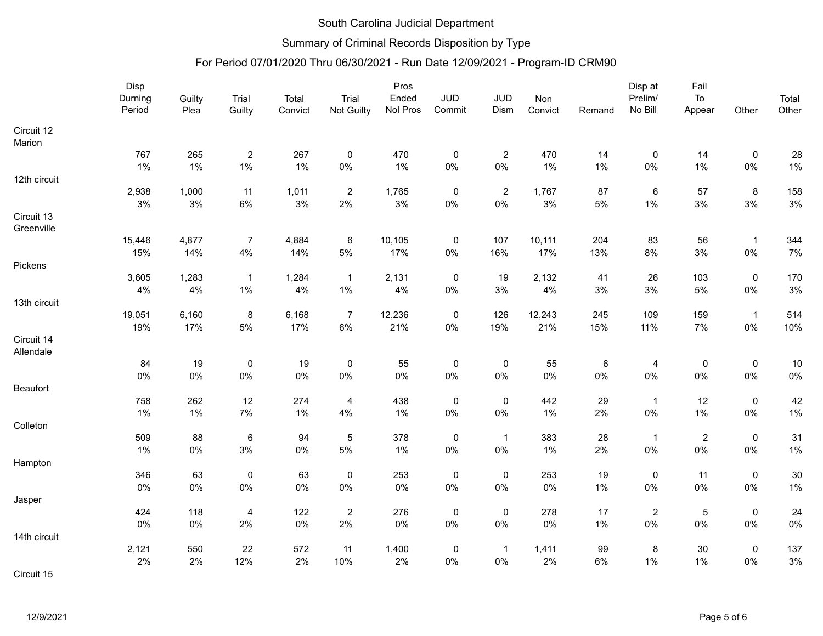## Summary of Criminal Records Disposition by Type

|              | Disp    |        |                  | Pros    |                |          |                |                  |         |        | Disp at                 | Fail           |              |        |
|--------------|---------|--------|------------------|---------|----------------|----------|----------------|------------------|---------|--------|-------------------------|----------------|--------------|--------|
|              | Durning | Guilty | Trial            | Total   | Trial          | Ended    | <b>JUD</b>     | <b>JUD</b>       | Non     |        | Prelim/                 | To             |              | Total  |
|              | Period  | Plea   | Guilty           | Convict | Not Guilty     | Nol Pros | Commit         | Dism             | Convict | Remand | No Bill                 | Appear         | Other        | Other  |
| Circuit 12   |         |        |                  |         |                |          |                |                  |         |        |                         |                |              |        |
| Marion       |         |        |                  |         |                |          |                |                  |         |        |                         |                |              |        |
|              | 767     | 265    | $\sqrt{2}$       | 267     | $\pmb{0}$      | 470      | $\pmb{0}$      | $\boldsymbol{2}$ | 470     | 14     | $\pmb{0}$               | 14             | $\pmb{0}$    | 28     |
|              | 1%      | 1%     | $1\%$            | 1%      | $0\%$          | 1%       | $0\%$          | $0\%$            | 1%      | $1\%$  | $0\%$                   | 1%             | $0\%$        | $1\%$  |
| 12th circuit |         |        |                  |         |                |          |                |                  |         |        |                         |                |              |        |
|              | 2,938   | 1,000  | 11               | 1,011   | $\overline{2}$ | 1,765    | $\overline{0}$ | $\overline{2}$   | 1,767   | 87     | $\,6\,$                 | 57             | $\bf 8$      | 158    |
|              | 3%      | $3%$   | $6\%$            | $3\%$   | 2%             | 3%       | $0\%$          | $0\%$            | 3%      | $5\%$  | 1%                      | 3%             | 3%           | $3\%$  |
| Circuit 13   |         |        |                  |         |                |          |                |                  |         |        |                         |                |              |        |
| Greenville   |         |        |                  |         |                |          |                |                  |         |        |                         |                |              |        |
|              | 15,446  | 4,877  | $\overline{7}$   | 4,884   | $\,6\,$        | 10,105   | $\overline{0}$ | 107              | 10,111  | 204    | 83                      | 56             | $\mathbf{1}$ | 344    |
|              | 15%     | 14%    | 4%               | 14%     | $5\%$          | 17%      | $0\%$          | 16%              | 17%     | 13%    | 8%                      | 3%             | $0\%$        | 7%     |
| Pickens      |         |        |                  |         |                |          |                |                  |         |        |                         |                |              |        |
|              | 3,605   | 1,283  | $\overline{1}$   | 1,284   | $\overline{1}$ | 2,131    | $\pmb{0}$      | 19               | 2,132   | 41     | 26                      | 103            | $\pmb{0}$    | 170    |
|              | 4%      | $4\%$  | $1\%$            | 4%      | $1\%$          | 4%       | $0\%$          | $3\%$            | 4%      | $3\%$  | $3%$                    | 5%             | $0\%$        | $3\%$  |
| 13th circuit |         |        |                  |         |                |          |                |                  |         |        |                         |                |              |        |
|              | 19,051  | 6,160  | $\bf 8$          | 6,168   | $\overline{7}$ | 12,236   | $\mathbf 0$    | 126              | 12,243  | 245    | 109                     | 159            | $\mathbf{1}$ | 514    |
|              | 19%     | 17%    | $5\%$            | 17%     | $6\%$          | 21%      | $0\%$          | 19%              | 21%     | 15%    | 11%                     | 7%             | $0\%$        | 10%    |
| Circuit 14   |         |        |                  |         |                |          |                |                  |         |        |                         |                |              |        |
| Allendale    |         |        |                  |         |                |          |                |                  |         |        |                         |                |              |        |
|              | 84      | 19     | $\boldsymbol{0}$ | 19      | $\mathbf 0$    | 55       | $\mathbf 0$    | $\mathbf 0$      | 55      | 6      | $\overline{\mathbf{4}}$ | $\mathbf 0$    | $\pmb{0}$    | 10     |
|              | 0%      | $0\%$  | $0\%$            | $0\%$   | $0\%$          | $0\%$    | 0%             | $0\%$            | 0%      | $0\%$  | 0%                      | 0%             | $0\%$        | $0\%$  |
| Beaufort     |         |        |                  |         |                |          |                |                  |         |        |                         |                |              |        |
|              | 758     | 262    | 12               | 274     | $\overline{4}$ | 438      | $\overline{0}$ | $\pmb{0}$        | 442     | 29     | $\mathbf{1}$            | 12             | $\pmb{0}$    | 42     |
|              | $1\%$   | 1%     | $7\%$            | 1%      | 4%             | $1\%$    | $0\%$          | $0\%$            | 1%      | 2%     | $0\%$                   | 1%             | $0\%$        | $1\%$  |
| Colleton     |         |        |                  |         |                |          |                |                  |         |        |                         |                |              |        |
|              | 509     | 88     | $\,6\,$          | 94      | $\sqrt{5}$     | 378      | $\mathbf 0$    | $\overline{1}$   | 383     | 28     | $\overline{1}$          | $\overline{2}$ | $\pmb{0}$    | 31     |
|              | $1\%$   | $0\%$  | $3\%$            | $0\%$   | $5\%$          | $1\%$    | $0\%$          | $0\%$            | 1%      | 2%     | $0\%$                   | 0%             | $0\%$        | $1\%$  |
| Hampton      |         |        |                  |         |                |          |                |                  |         |        |                         |                |              |        |
|              | 346     | 63     | $\pmb{0}$        | 63      | $\mathbf 0$    | 253      | $\overline{0}$ | $\pmb{0}$        | 253     | 19     | $\pmb{0}$               | 11             | $\pmb{0}$    | $30\,$ |
|              | 0%      | $0\%$  | $0\%$            | $0\%$   | $0\%$          | $0\%$    | $0\%$          | $0\%$            | 0%      | $1\%$  | 0%                      | 0%             | $0\%$        | 1%     |
| Jasper       |         |        |                  |         |                |          |                |                  |         |        |                         |                |              |        |
|              | 424     | 118    | $\overline{4}$   | 122     | $\overline{2}$ | 276      | $\mathbf 0$    | $\pmb{0}$        | 278     | 17     | $\overline{2}$          | $\sqrt{5}$     | $\pmb{0}$    | 24     |
|              | 0%      | $0\%$  | 2%               | $0\%$   | 2%             | $0\%$    | $0\%$          | $0\%$            | 0%      | $1\%$  | $0\%$                   | 0%             | $0\%$        | $0\%$  |
| 14th circuit |         |        |                  |         |                |          |                |                  |         |        |                         |                |              |        |
|              | 2,121   | 550    | 22               | 572     | 11             | 1,400    | $\overline{0}$ | $\overline{1}$   | 1,411   | 99     | $\bf 8$                 | 30             | $\pmb{0}$    | 137    |
|              | 2%      | 2%     | 12%              | 2%      | 10%            | 2%       | 0%             | 0%               | 2%      | $6\%$  | 1%                      | 1%             | $0\%$        | 3%     |
| Circuit 15   |         |        |                  |         |                |          |                |                  |         |        |                         |                |              |        |